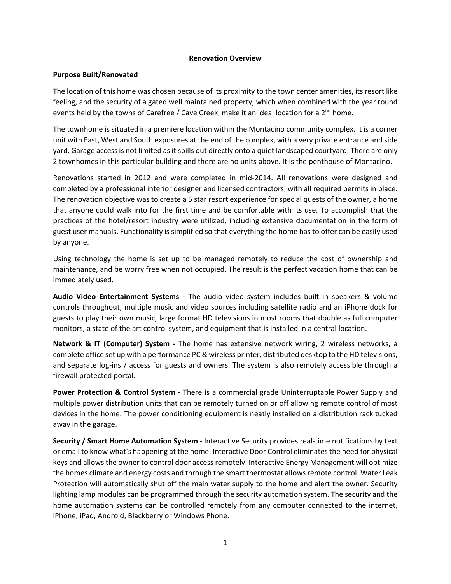## **Renovation Overview**

## **Purpose Built/Renovated**

The location of this home was chosen because of its proximity to the town center amenities, its resort like feeling, and the security of a gated well maintained property, which when combined with the year round events held by the towns of Carefree / Cave Creek, make it an ideal location for a 2<sup>nd</sup> home.

The townhome is situated in a premiere location within the Montacino community complex. It is a corner unit with East, West and South exposures at the end of the complex, with a very private entrance and side yard. Garage accessis not limited as it spills out directly onto a quiet landscaped courtyard. There are only 2 townhomes in this particular building and there are no units above. It is the penthouse of Montacino.

Renovations started in 2012 and were completed in mid-2014. All renovations were designed and completed by a professional interior designer and licensed contractors, with all required permits in place. The renovation objective was to create a 5 star resort experience for special quests of the owner, a home that anyone could walk into for the first time and be comfortable with its use. To accomplish that the practices of the hotel/resort industry were utilized, including extensive documentation in the form of guest user manuals. Functionality is simplified so that everything the home has to offer can be easily used by anyone.

Using technology the home is set up to be managed remotely to reduce the cost of ownership and maintenance, and be worry free when not occupied. The result is the perfect vacation home that can be immediately used.

**Audio Video Entertainment Systems ‐**  The audio video system includes built in speakers & volume controls throughout, multiple music and video sources including satellite radio and an iPhone dock for guests to play their own music, large format HD televisions in most rooms that double as full computer monitors, a state of the art control system, and equipment that is installed in a central location.

**Network & IT (Computer) System ‐**  The home has extensive network wiring, 2 wireless networks, a complete office set up with a performance PC & wireless printer, distributed desktop to the HD televisions, and separate log-ins / access for guests and owners. The system is also remotely accessible through a firewall protected portal.

**Power Protection & Control System ‐** There is a commercial grade Uninterruptable Power Supply and multiple power distribution units that can be remotely turned on or off allowing remote control of most devices in the home. The power conditioning equipment is neatly installed on a distribution rack tucked away in the garage.

**Security / Smart Home Automation System ‐** Interactive Security provides real‐time notifications by text or email to know what's happening at the home. Interactive Door Control eliminatesthe need for physical keys and allows the owner to control door access remotely. Interactive Energy Management will optimize the homes climate and energy costs and through the smart thermostat allows remote control. Water Leak Protection will automatically shut off the main water supply to the home and alert the owner. Security lighting lamp modules can be programmed through the security automation system. The security and the home automation systems can be controlled remotely from any computer connected to the internet, iPhone, iPad, Android, Blackberry or Windows Phone.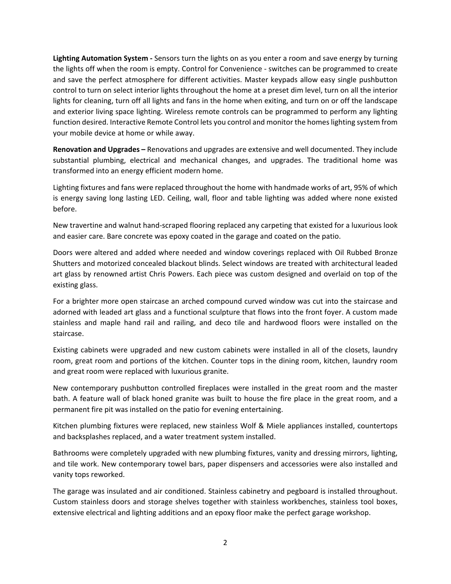**Lighting Automation System ‐** Sensors turn the lights on as you enter a room and save energy by turning the lights off when the room is empty. Control for Convenience ‐ switches can be programmed to create and save the perfect atmosphere for different activities. Master keypads allow easy single pushbutton control to turn on select interior lights throughout the home at a preset dim level, turn on all the interior lights for cleaning, turn off all lights and fans in the home when exiting, and turn on or off the landscape and exterior living space lighting. Wireless remote controls can be programmed to perform any lighting function desired. Interactive Remote Control lets you control and monitor the homeslighting system from your mobile device at home or while away.

**Renovation and Upgrades –** Renovations and upgrades are extensive and well documented. They include substantial plumbing, electrical and mechanical changes, and upgrades. The traditional home was transformed into an energy efficient modern home.

Lighting fixtures and fans were replaced throughout the home with handmade works of art, 95% of which is energy saving long lasting LED. Ceiling, wall, floor and table lighting was added where none existed before.

New travertine and walnut hand‐scraped flooring replaced any carpeting that existed for a luxurious look and easier care. Bare concrete was epoxy coated in the garage and coated on the patio.

Doors were altered and added where needed and window coverings replaced with Oil Rubbed Bronze Shutters and motorized concealed blackout blinds. Select windows are treated with architectural leaded art glass by renowned artist Chris Powers. Each piece was custom designed and overlaid on top of the existing glass.

For a brighter more open staircase an arched compound curved window was cut into the staircase and adorned with leaded art glass and a functional sculpture that flows into the front foyer. A custom made stainless and maple hand rail and railing, and deco tile and hardwood floors were installed on the staircase.

Existing cabinets were upgraded and new custom cabinets were installed in all of the closets, laundry room, great room and portions of the kitchen. Counter tops in the dining room, kitchen, laundry room and great room were replaced with luxurious granite.

New contemporary pushbutton controlled fireplaces were installed in the great room and the master bath. A feature wall of black honed granite was built to house the fire place in the great room, and a permanent fire pit was installed on the patio for evening entertaining.

Kitchen plumbing fixtures were replaced, new stainless Wolf & Miele appliances installed, countertops and backsplashes replaced, and a water treatment system installed.

Bathrooms were completely upgraded with new plumbing fixtures, vanity and dressing mirrors, lighting, and tile work. New contemporary towel bars, paper dispensers and accessories were also installed and vanity tops reworked.

The garage was insulated and air conditioned. Stainless cabinetry and pegboard is installed throughout. Custom stainless doors and storage shelves together with stainless workbenches, stainless tool boxes, extensive electrical and lighting additions and an epoxy floor make the perfect garage workshop.